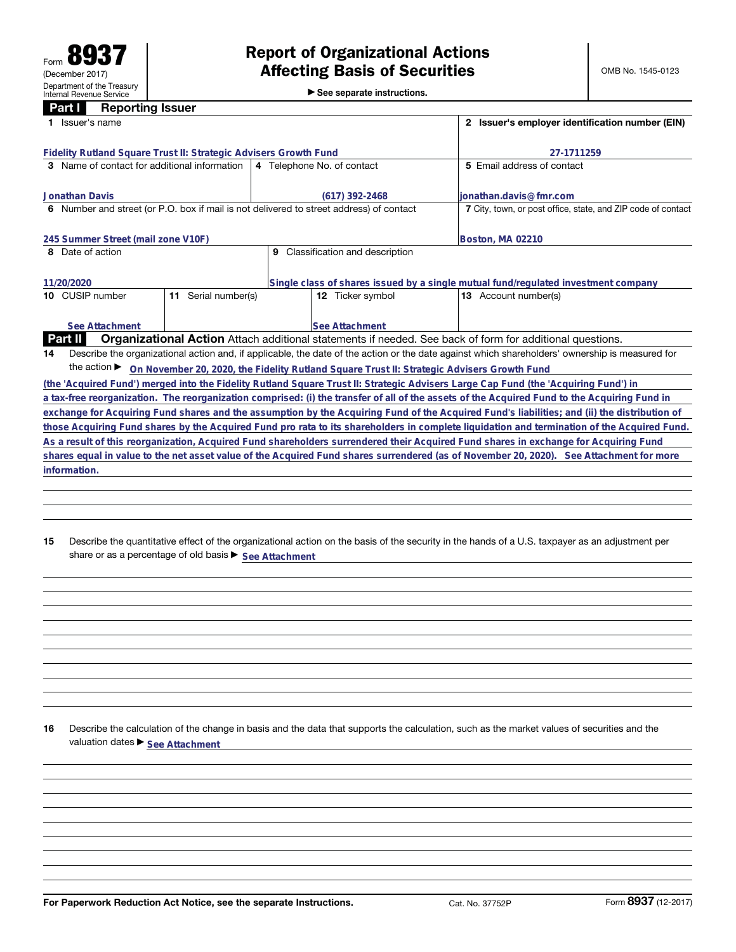**Part I Reporting Issuer**

| ган<br><b>UChnifing</b> Issuel                                                                                                      |                                                                                                          |                                                                                                                                                 |  |  |  |  |  |  |
|-------------------------------------------------------------------------------------------------------------------------------------|----------------------------------------------------------------------------------------------------------|-------------------------------------------------------------------------------------------------------------------------------------------------|--|--|--|--|--|--|
| Issuer's name                                                                                                                       | 2 Issuer's employer identification number (EIN)                                                          |                                                                                                                                                 |  |  |  |  |  |  |
| Fidelity Rutland Square Trust II: Strategic Advisers Growth Fund                                                                    | 27-1711259                                                                                               |                                                                                                                                                 |  |  |  |  |  |  |
| 3 Name of contact for additional information                                                                                        | 4 Telephone No. of contact                                                                               | 5 Email address of contact                                                                                                                      |  |  |  |  |  |  |
| <b>Jonathan Davis</b>                                                                                                               | (617) 392-2468                                                                                           | lionathan.davis@fmr.com                                                                                                                         |  |  |  |  |  |  |
| 6 Number and street (or P.O. box if mail is not delivered to street address) of contact                                             |                                                                                                          | 7 City, town, or post office, state, and ZIP code of contact                                                                                    |  |  |  |  |  |  |
| 245 Summer Street (mail zone V10F)                                                                                                  | Boston, MA 02210                                                                                         |                                                                                                                                                 |  |  |  |  |  |  |
| 8 Date of action                                                                                                                    | Classification and description<br>9                                                                      |                                                                                                                                                 |  |  |  |  |  |  |
| 11/20/2020                                                                                                                          | Single class of shares issued by a single mutual fund/regulated investment company                       |                                                                                                                                                 |  |  |  |  |  |  |
| Serial number(s)<br>10 CUSIP number<br>11                                                                                           | <b>12</b> Ticker symbol                                                                                  | <b>13</b> Account number(s)                                                                                                                     |  |  |  |  |  |  |
| See Attachment                                                                                                                      | <b>See Attachment</b>                                                                                    |                                                                                                                                                 |  |  |  |  |  |  |
| <b>Part II</b>                                                                                                                      | Organizational Action Attach additional statements if needed. See back of form for additional questions. |                                                                                                                                                 |  |  |  |  |  |  |
| 14                                                                                                                                  |                                                                                                          | Describe the organizational action and, if applicable, the date of the action or the date against which shareholders' ownership is measured for |  |  |  |  |  |  |
|                                                                                                                                     | the action > On November 20, 2020, the Fidelity Rutland Square Trust II: Strategic Advisers Growth Fund  |                                                                                                                                                 |  |  |  |  |  |  |
| (the 'Acquired Fund') merged into the Fidelity Rutland Square Trust II: Strategic Advisers Large Cap Fund (the 'Acquiring Fund') in |                                                                                                          |                                                                                                                                                 |  |  |  |  |  |  |
|                                                                                                                                     |                                                                                                          | a tax-free reorganization. The reorganization comprised: (i) the transfer of all of the assets of the Acquired Fund to the Acquiring Fund in    |  |  |  |  |  |  |
|                                                                                                                                     |                                                                                                          | exchange for Acquiring Fund shares and the assumption by the Acquiring Fund of the Acquired Fund's liabilities; and (ii) the distribution of    |  |  |  |  |  |  |
|                                                                                                                                     |                                                                                                          | those Acquiring Fund shares by the Acquired Fund pro rata to its shareholders in complete liquidation and termination of the Acquired Fund.     |  |  |  |  |  |  |
|                                                                                                                                     |                                                                                                          | As a result of this reorganization, Acquired Fund shareholders surrendered their Acquired Fund shares in exchange for Acquiring Fund            |  |  |  |  |  |  |
|                                                                                                                                     |                                                                                                          | shares equal in value to the net asset value of the Acquired Fund shares surrendered (as of November 20, 2020). See Attachment for more         |  |  |  |  |  |  |
| information.                                                                                                                        |                                                                                                          |                                                                                                                                                 |  |  |  |  |  |  |

**15** Describe the quantitative effect of the organizational action on the basis of the security in the hands of a U.S. taxpayer as an adjustment per share or as a percentage of old basis  $\blacktriangleright$  <u>See Attachment</u>

**16** Describe the calculation of the change in basis and the data that supports the calculation, such as the market values of securities and the valuation dates  $\blacktriangleright$  **See Attachment**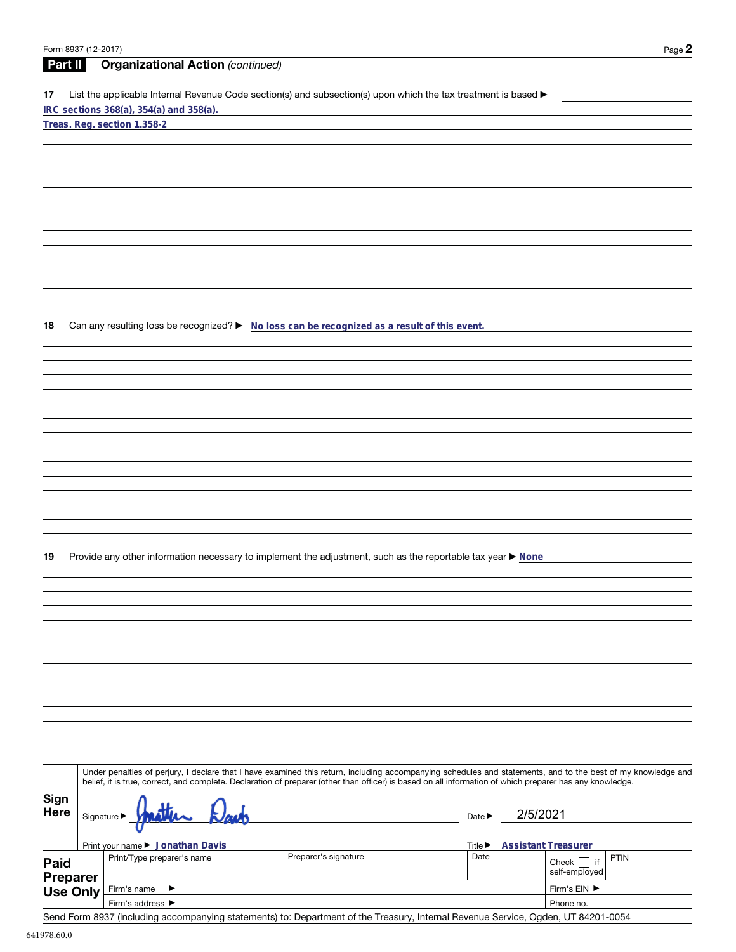| Form 8937 (12-2017) |           |                                                                                                                                                                                                                                                                                                                          |                             |                            | Page 2                    |
|---------------------|-----------|--------------------------------------------------------------------------------------------------------------------------------------------------------------------------------------------------------------------------------------------------------------------------------------------------------------------------|-----------------------------|----------------------------|---------------------------|
| Part II             |           | <b>Organizational Action (continued)</b>                                                                                                                                                                                                                                                                                 |                             |                            |                           |
| 17                  |           | List the applicable Internal Revenue Code section(s) and subsection(s) upon which the tax treatment is based ▶<br>IRC sections 368(a), 354(a) and 358(a).                                                                                                                                                                |                             |                            |                           |
|                     |           | Treas. Reg. section 1.358-2                                                                                                                                                                                                                                                                                              |                             |                            |                           |
|                     |           |                                                                                                                                                                                                                                                                                                                          |                             |                            |                           |
|                     |           |                                                                                                                                                                                                                                                                                                                          |                             |                            |                           |
|                     |           |                                                                                                                                                                                                                                                                                                                          |                             |                            |                           |
|                     |           |                                                                                                                                                                                                                                                                                                                          |                             |                            |                           |
|                     |           |                                                                                                                                                                                                                                                                                                                          |                             |                            |                           |
|                     |           |                                                                                                                                                                                                                                                                                                                          |                             |                            |                           |
|                     |           |                                                                                                                                                                                                                                                                                                                          |                             |                            |                           |
|                     |           |                                                                                                                                                                                                                                                                                                                          |                             |                            |                           |
|                     |           |                                                                                                                                                                                                                                                                                                                          |                             |                            |                           |
| 18                  |           | Can any resulting loss be recognized? > No loss can be recognized as a result of this event.                                                                                                                                                                                                                             |                             |                            |                           |
|                     |           |                                                                                                                                                                                                                                                                                                                          |                             |                            |                           |
|                     |           |                                                                                                                                                                                                                                                                                                                          |                             |                            |                           |
|                     |           |                                                                                                                                                                                                                                                                                                                          |                             |                            |                           |
|                     |           |                                                                                                                                                                                                                                                                                                                          |                             |                            |                           |
|                     |           |                                                                                                                                                                                                                                                                                                                          |                             |                            |                           |
|                     |           |                                                                                                                                                                                                                                                                                                                          |                             |                            |                           |
|                     |           |                                                                                                                                                                                                                                                                                                                          |                             |                            |                           |
|                     |           |                                                                                                                                                                                                                                                                                                                          |                             |                            |                           |
|                     |           |                                                                                                                                                                                                                                                                                                                          |                             |                            |                           |
|                     |           |                                                                                                                                                                                                                                                                                                                          |                             |                            |                           |
|                     |           |                                                                                                                                                                                                                                                                                                                          |                             |                            |                           |
| 19                  |           | Provide any other information necessary to implement the adjustment, such as the reportable tax year ▶ None                                                                                                                                                                                                              |                             |                            |                           |
|                     |           |                                                                                                                                                                                                                                                                                                                          |                             |                            |                           |
|                     |           |                                                                                                                                                                                                                                                                                                                          |                             |                            |                           |
|                     |           |                                                                                                                                                                                                                                                                                                                          |                             |                            |                           |
|                     |           |                                                                                                                                                                                                                                                                                                                          |                             |                            |                           |
|                     |           |                                                                                                                                                                                                                                                                                                                          |                             |                            |                           |
|                     |           |                                                                                                                                                                                                                                                                                                                          |                             |                            |                           |
|                     |           |                                                                                                                                                                                                                                                                                                                          |                             |                            |                           |
|                     |           |                                                                                                                                                                                                                                                                                                                          |                             |                            |                           |
|                     |           |                                                                                                                                                                                                                                                                                                                          |                             |                            |                           |
|                     |           |                                                                                                                                                                                                                                                                                                                          |                             |                            |                           |
|                     |           |                                                                                                                                                                                                                                                                                                                          |                             |                            |                           |
|                     |           | Under penalties of perjury, I declare that I have examined this return, including accompanying schedules and statements, and to the best of my knowledge and<br>belief, it is true, correct, and complete. Declaration of preparer (other than officer) is based on all information of which preparer has any knowledge. |                             |                            |                           |
| Sign                |           |                                                                                                                                                                                                                                                                                                                          |                             |                            |                           |
| Here                | Signature |                                                                                                                                                                                                                                                                                                                          | Date $\blacktriangleright$  | 2/5/2021                   |                           |
|                     |           | Print your name ▶ Jonathan Davis                                                                                                                                                                                                                                                                                         | Title $\blacktriangleright$ | <b>Assistant Treasurer</b> |                           |
| Paid                |           | Preparer's signature<br>Print/Type preparer's name                                                                                                                                                                                                                                                                       | Date                        |                            | PTIN<br>Check $\Box$ if   |
| <b>Preparer</b>     |           |                                                                                                                                                                                                                                                                                                                          |                             |                            | self-employed             |
| <b>Use Only</b>     |           | Firm's name<br>▶<br>Firm's address ▶                                                                                                                                                                                                                                                                                     |                             |                            | Firm's EIN ▶<br>Phone no. |
|                     |           |                                                                                                                                                                                                                                                                                                                          |                             |                            |                           |

Send Form 8937 (including accompanying statements) to: Department of the Treasury, Internal Revenue Service, Ogden, UT 84201-0054